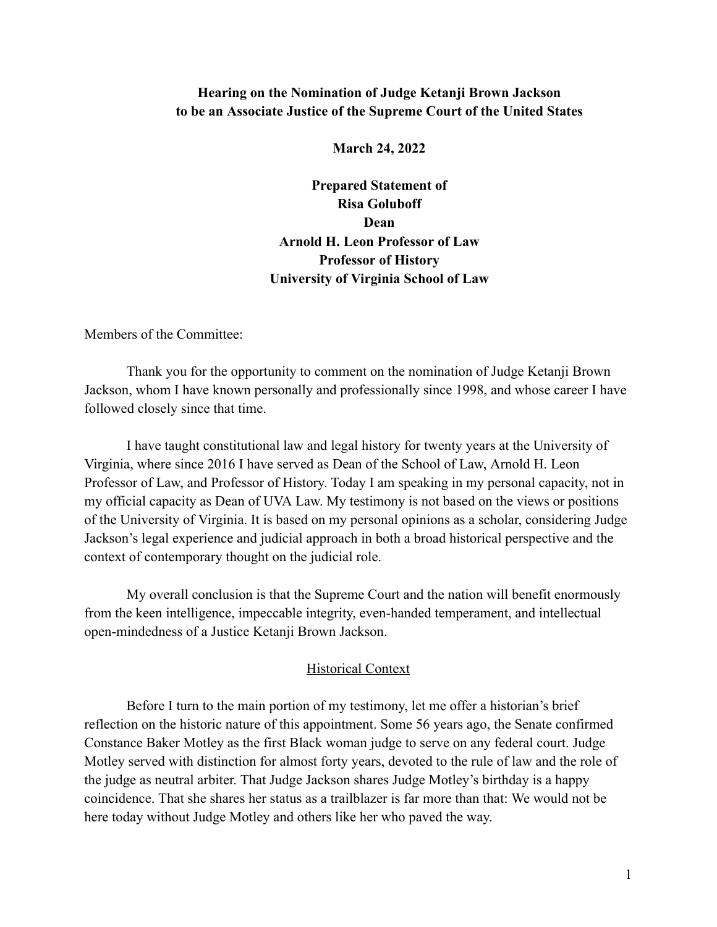# **Hearing on the Nomination of Judge Ketanji Brown Jackson to be an Associate Justice of the Supreme Court of the United States**

**March 24, 2022**

**Prepared Statement of Risa Goluboff Dean Arnold H. Leon Professor of Law Professor of History University of Virginia School of Law**

Members of the Committee:

Thank you for the opportunity to comment on the nomination of Judge Ketanji Brown Jackson, whom I have known personally and professionally since 1998, and whose career I have followed closely since that time.

I have taught constitutional law and legal history for twenty years at the University of Virginia, where since 2016 I have served as Dean of the School of Law, Arnold H. Leon Professor of Law, and Professor of History. Today I am speaking in my personal capacity, not in my official capacity as Dean of UVA Law. My testimony is not based on the views or positions of the University of Virginia. It is based on my personal opinions as a scholar, considering Judge Jackson's legal experience and judicial approach in both a broad historical perspective and the context of contemporary thought on the judicial role.

My overall conclusion is that the Supreme Court and the nation will benefit enormously from the keen intelligence, impeccable integrity, even-handed temperament, and intellectual open-mindedness of a Justice Ketanji Brown Jackson.

## Historical Context

Before I turn to the main portion of my testimony, let me offer a historian's brief reflection on the historic nature of this appointment. Some 56 years ago, the Senate confirmed Constance Baker Motley as the first Black woman judge to serve on any federal court. Judge Motley served with distinction for almost forty years, devoted to the rule of law and the role of the judge as neutral arbiter. That Judge Jackson shares Judge Motley's birthday is a happy coincidence. That she shares her status as a trailblazer is far more than that: We would not be here today without Judge Motley and others like her who paved the way.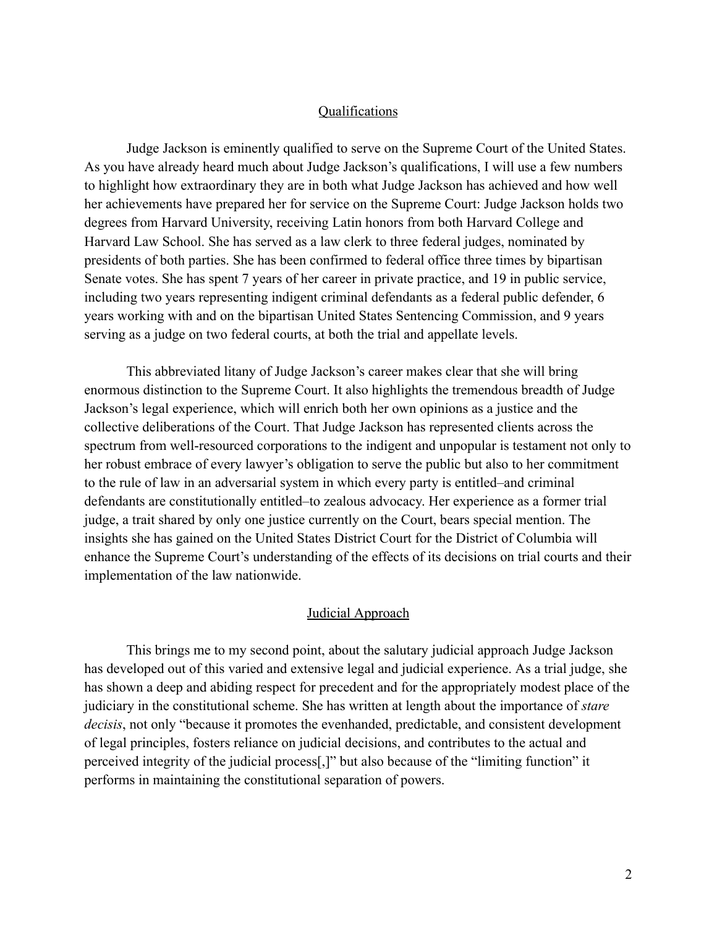## Qualifications

Judge Jackson is eminently qualified to serve on the Supreme Court of the United States. As you have already heard much about Judge Jackson's qualifications, I will use a few numbers to highlight how extraordinary they are in both what Judge Jackson has achieved and how well her achievements have prepared her for service on the Supreme Court: Judge Jackson holds two degrees from Harvard University, receiving Latin honors from both Harvard College and Harvard Law School. She has served as a law clerk to three federal judges, nominated by presidents of both parties. She has been confirmed to federal office three times by bipartisan Senate votes. She has spent 7 years of her career in private practice, and 19 in public service, including two years representing indigent criminal defendants as a federal public defender, 6 years working with and on the bipartisan United States Sentencing Commission, and 9 years serving as a judge on two federal courts, at both the trial and appellate levels.

This abbreviated litany of Judge Jackson's career makes clear that she will bring enormous distinction to the Supreme Court. It also highlights the tremendous breadth of Judge Jackson's legal experience, which will enrich both her own opinions as a justice and the collective deliberations of the Court. That Judge Jackson has represented clients across the spectrum from well-resourced corporations to the indigent and unpopular is testament not only to her robust embrace of every lawyer's obligation to serve the public but also to her commitment to the rule of law in an adversarial system in which every party is entitled–and criminal defendants are constitutionally entitled–to zealous advocacy. Her experience as a former trial judge, a trait shared by only one justice currently on the Court, bears special mention. The insights she has gained on the United States District Court for the District of Columbia will enhance the Supreme Court's understanding of the effects of its decisions on trial courts and their implementation of the law nationwide.

#### Judicial Approach

This brings me to my second point, about the salutary judicial approach Judge Jackson has developed out of this varied and extensive legal and judicial experience. As a trial judge, she has shown a deep and abiding respect for precedent and for the appropriately modest place of the judiciary in the constitutional scheme. She has written at length about the importance of *stare decisis*, not only "because it promotes the evenhanded, predictable, and consistent development of legal principles, fosters reliance on judicial decisions, and contributes to the actual and perceived integrity of the judicial process[,]" but also because of the "limiting function" it performs in maintaining the constitutional separation of powers.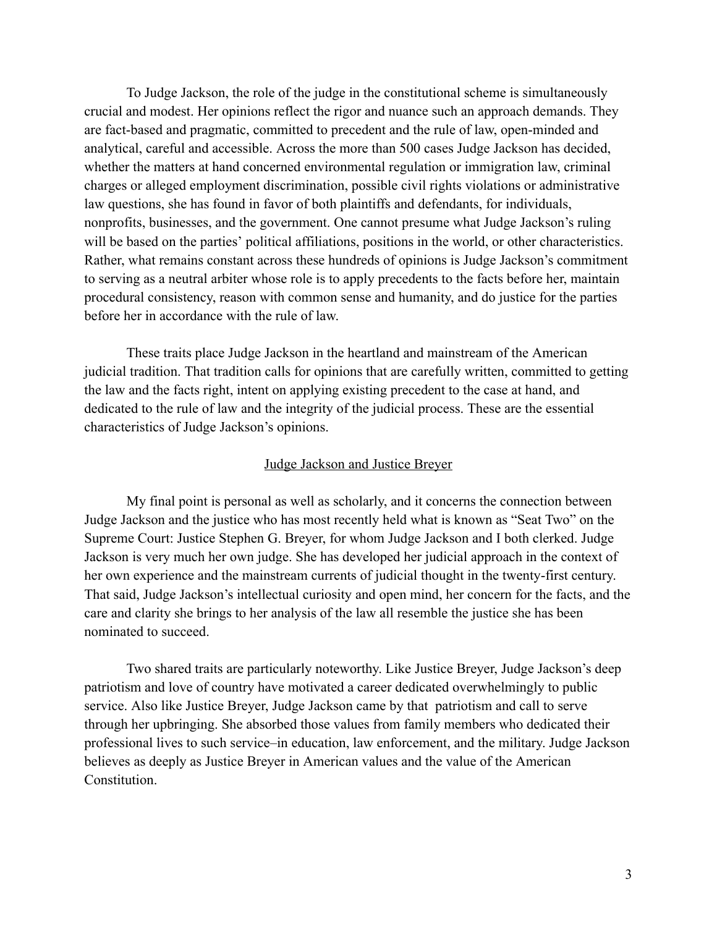To Judge Jackson, the role of the judge in the constitutional scheme is simultaneously crucial and modest. Her opinions reflect the rigor and nuance such an approach demands. They are fact-based and pragmatic, committed to precedent and the rule of law, open-minded and analytical, careful and accessible. Across the more than 500 cases Judge Jackson has decided, whether the matters at hand concerned environmental regulation or immigration law, criminal charges or alleged employment discrimination, possible civil rights violations or administrative law questions, she has found in favor of both plaintiffs and defendants, for individuals, nonprofits, businesses, and the government. One cannot presume what Judge Jackson's ruling will be based on the parties' political affiliations, positions in the world, or other characteristics. Rather, what remains constant across these hundreds of opinions is Judge Jackson's commitment to serving as a neutral arbiter whose role is to apply precedents to the facts before her, maintain procedural consistency, reason with common sense and humanity, and do justice for the parties before her in accordance with the rule of law.

These traits place Judge Jackson in the heartland and mainstream of the American judicial tradition. That tradition calls for opinions that are carefully written, committed to getting the law and the facts right, intent on applying existing precedent to the case at hand, and dedicated to the rule of law and the integrity of the judicial process. These are the essential characteristics of Judge Jackson's opinions.

### Judge Jackson and Justice Breyer

My final point is personal as well as scholarly, and it concerns the connection between Judge Jackson and the justice who has most recently held what is known as "Seat Two" on the Supreme Court: Justice Stephen G. Breyer, for whom Judge Jackson and I both clerked. Judge Jackson is very much her own judge. She has developed her judicial approach in the context of her own experience and the mainstream currents of judicial thought in the twenty-first century. That said, Judge Jackson's intellectual curiosity and open mind, her concern for the facts, and the care and clarity she brings to her analysis of the law all resemble the justice she has been nominated to succeed.

Two shared traits are particularly noteworthy. Like Justice Breyer, Judge Jackson's deep patriotism and love of country have motivated a career dedicated overwhelmingly to public service. Also like Justice Breyer, Judge Jackson came by that patriotism and call to serve through her upbringing. She absorbed those values from family members who dedicated their professional lives to such service–in education, law enforcement, and the military. Judge Jackson believes as deeply as Justice Breyer in American values and the value of the American Constitution.